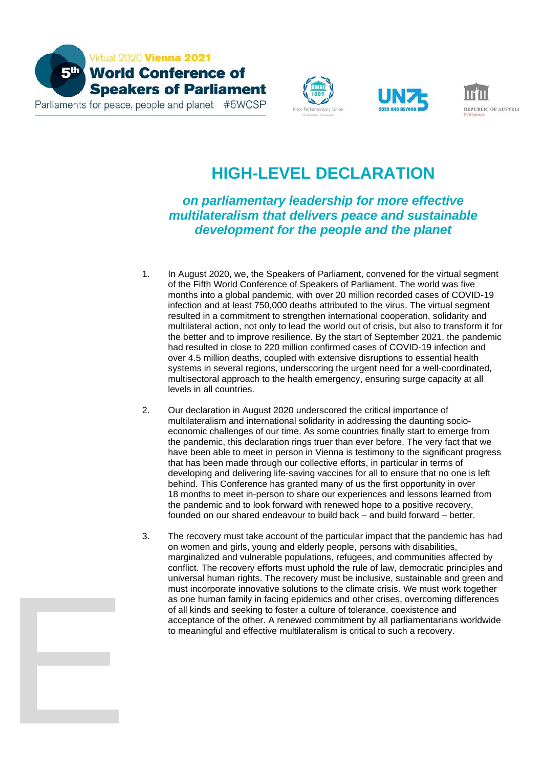

E







## **HIGH-LEVEL DECLARATION**

## *on parliamentary leadership for more effective multilateralism that delivers peace and sustainable development for the people and the planet*

- 1. In August 2020, we, the Speakers of Parliament, convened for the virtual segment of the Fifth World Conference of Speakers of Parliament. The world was five months into a global pandemic, with over 20 million recorded cases of COVID-19 infection and at least 750,000 deaths attributed to the virus. The virtual segment resulted in a commitment to strengthen international cooperation, solidarity and multilateral action, not only to lead the world out of crisis, but also to transform it for the better and to improve resilience. By the start of September 2021, the pandemic had resulted in close to 220 million confirmed cases of COVID-19 infection and over 4.5 million deaths, coupled with extensive disruptions to essential health systems in several regions, underscoring the urgent need for a well-coordinated, multisectoral approach to the health emergency, ensuring surge capacity at all levels in all countries.
- 2. Our declaration in August 2020 underscored the critical importance of multilateralism and international solidarity in addressing the daunting socioeconomic challenges of our time. As some countries finally start to emerge from the pandemic, this declaration rings truer than ever before. The very fact that we have been able to meet in person in Vienna is testimony to the significant progress that has been made through our collective efforts, in particular in terms of developing and delivering life-saving vaccines for all to ensure that no one is left behind. This Conference has granted many of us the first opportunity in over 18 months to meet in-person to share our experiences and lessons learned from the pandemic and to look forward with renewed hope to a positive recovery, founded on our shared endeavour to build back – and build forward – better.
- 3. The recovery must take account of the particular impact that the pandemic has had on women and girls, young and elderly people, persons with disabilities, marginalized and vulnerable populations, refugees, and communities affected by conflict. The recovery efforts must uphold the rule of law, democratic principles and universal human rights. The recovery must be inclusive, sustainable and green and must incorporate innovative solutions to the climate crisis. We must work together as one human family in facing epidemics and other crises, overcoming differences of all kinds and seeking to foster a culture of tolerance, coexistence and acceptance of the other. A renewed commitment by all parliamentarians worldwide to meaningful and effective multilateralism is critical to such a recovery.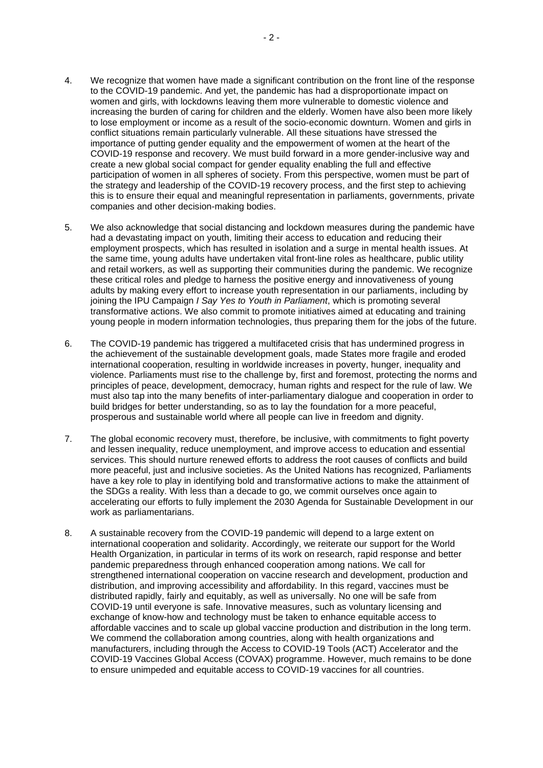- 4. We recognize that women have made a significant contribution on the front line of the response to the COVID-19 pandemic. And yet, the pandemic has had a disproportionate impact on women and girls, with lockdowns leaving them more vulnerable to domestic violence and increasing the burden of caring for children and the elderly. Women have also been more likely to lose employment or income as a result of the socio-economic downturn. Women and girls in conflict situations remain particularly vulnerable. All these situations have stressed the importance of putting gender equality and the empowerment of women at the heart of the COVID-19 response and recovery. We must build forward in a more gender-inclusive way and create a new global social compact for gender equality enabling the full and effective participation of women in all spheres of society. From this perspective, women must be part of the strategy and leadership of the COVID-19 recovery process, and the first step to achieving this is to ensure their equal and meaningful representation in parliaments, governments, private companies and other decision-making bodies.
- 5. We also acknowledge that social distancing and lockdown measures during the pandemic have had a devastating impact on youth, limiting their access to education and reducing their employment prospects, which has resulted in isolation and a surge in mental health issues. At the same time, young adults have undertaken vital front-line roles as healthcare, public utility and retail workers, as well as supporting their communities during the pandemic. We recognize these critical roles and pledge to harness the positive energy and innovativeness of young adults by making every effort to increase youth representation in our parliaments, including by joining the IPU Campaign *I Say Yes to Youth in Parliament*, which is promoting several transformative actions. We also commit to promote initiatives aimed at educating and training young people in modern information technologies, thus preparing them for the jobs of the future.
- 6. The COVID-19 pandemic has triggered a multifaceted crisis that has undermined progress in the achievement of the sustainable development goals, made States more fragile and eroded international cooperation, resulting in worldwide increases in poverty, hunger, inequality and violence. Parliaments must rise to the challenge by, first and foremost, protecting the norms and principles of peace, development, democracy, human rights and respect for the rule of law. We must also tap into the many benefits of inter-parliamentary dialogue and cooperation in order to build bridges for better understanding, so as to lay the foundation for a more peaceful, prosperous and sustainable world where all people can live in freedom and dignity.
- 7. The global economic recovery must, therefore, be inclusive, with commitments to fight poverty and lessen inequality, reduce unemployment, and improve access to education and essential services. This should nurture renewed efforts to address the root causes of conflicts and build more peaceful, just and inclusive societies. As the United Nations has recognized, Parliaments have a key role to play in identifying bold and transformative actions to make the attainment of the SDGs a reality. With less than a decade to go, we commit ourselves once again to accelerating our efforts to fully implement the 2030 Agenda for Sustainable Development in our work as parliamentarians.
- 8. A sustainable recovery from the COVID-19 pandemic will depend to a large extent on international cooperation and solidarity. Accordingly, we reiterate our support for the World Health Organization, in particular in terms of its work on research, rapid response and better pandemic preparedness through enhanced cooperation among nations. We call for strengthened international cooperation on vaccine research and development, production and distribution, and improving accessibility and affordability. In this regard, vaccines must be distributed rapidly, fairly and equitably, as well as universally. No one will be safe from COVID-19 until everyone is safe. Innovative measures, such as voluntary licensing and exchange of know-how and technology must be taken to enhance equitable access to affordable vaccines and to scale up global vaccine production and distribution in the long term. We commend the collaboration among countries, along with health organizations and manufacturers, including through the Access to COVID-19 Tools (ACT) Accelerator and the COVID-19 Vaccines Global Access (COVAX) programme. However, much remains to be done to ensure unimpeded and equitable access to COVID-19 vaccines for all countries.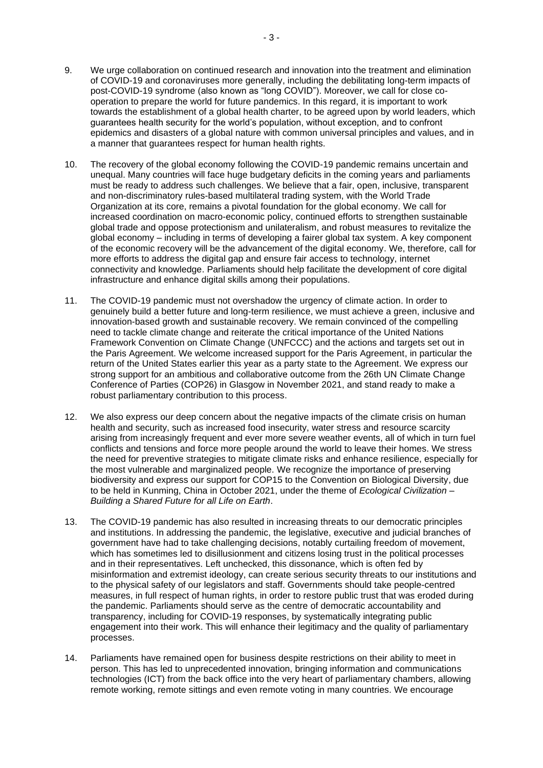- 9. We urge collaboration on continued research and innovation into the treatment and elimination of COVID-19 and coronaviruses more generally, including the debilitating long-term impacts of post-COVID-19 syndrome (also known as "long COVID"). Moreover, we call for close cooperation to prepare the world for future pandemics. In this regard, it is important to work towards the establishment of a global health charter, to be agreed upon by world leaders, which guarantees health security for the world's population, without exception, and to confront epidemics and disasters of a global nature with common universal principles and values, and in a manner that guarantees respect for human health rights.
- 10. The recovery of the global economy following the COVID-19 pandemic remains uncertain and unequal. Many countries will face huge budgetary deficits in the coming years and parliaments must be ready to address such challenges. We believe that a fair, open, inclusive, transparent and non-discriminatory rules-based multilateral trading system, with the World Trade Organization at its core, remains a pivotal foundation for the global economy. We call for increased coordination on macro-economic policy, continued efforts to strengthen sustainable global trade and oppose protectionism and unilateralism, and robust measures to revitalize the global economy – including in terms of developing a fairer global tax system. A key component of the economic recovery will be the advancement of the digital economy. We, therefore, call for more efforts to address the digital gap and ensure fair access to technology, internet connectivity and knowledge. Parliaments should help facilitate the development of core digital infrastructure and enhance digital skills among their populations.
- 11. The COVID-19 pandemic must not overshadow the urgency of climate action. In order to genuinely build a better future and long-term resilience, we must achieve a green, inclusive and innovation-based growth and sustainable recovery. We remain convinced of the compelling need to tackle climate change and reiterate the critical importance of the United Nations Framework Convention on Climate Change (UNFCCC) and the actions and targets set out in the Paris Agreement. We welcome increased support for the Paris Agreement, in particular the return of the United States earlier this year as a party state to the Agreement. We express our strong support for an ambitious and collaborative outcome from the 26th UN Climate Change Conference of Parties (COP26) in Glasgow in November 2021, and stand ready to make a robust parliamentary contribution to this process.
- 12. We also express our deep concern about the negative impacts of the climate crisis on human health and security, such as increased food insecurity, water stress and resource scarcity arising from increasingly frequent and ever more severe weather events, all of which in turn fuel conflicts and tensions and force more people around the world to leave their homes. We stress the need for preventive strategies to mitigate climate risks and enhance resilience, especially for the most vulnerable and marginalized people. We recognize the importance of preserving biodiversity and express our support for COP15 to the Convention on Biological Diversity, due to be held in Kunming, China in October 2021, under the theme of *Ecological Civilization – Building a Shared Future for all Life on Earth*.
- 13. The COVID-19 pandemic has also resulted in increasing threats to our democratic principles and institutions. In addressing the pandemic, the legislative, executive and judicial branches of government have had to take challenging decisions, notably curtailing freedom of movement, which has sometimes led to disillusionment and citizens losing trust in the political processes and in their representatives. Left unchecked, this dissonance, which is often fed by misinformation and extremist ideology, can create serious security threats to our institutions and to the physical safety of our legislators and staff. Governments should take people-centred measures, in full respect of human rights, in order to restore public trust that was eroded during the pandemic. Parliaments should serve as the centre of democratic accountability and transparency, including for COVID-19 responses, by systematically integrating public engagement into their work. This will enhance their legitimacy and the quality of parliamentary processes.
- 14. Parliaments have remained open for business despite restrictions on their ability to meet in person. This has led to unprecedented innovation, bringing information and communications technologies (ICT) from the back office into the very heart of parliamentary chambers, allowing remote working, remote sittings and even remote voting in many countries. We encourage